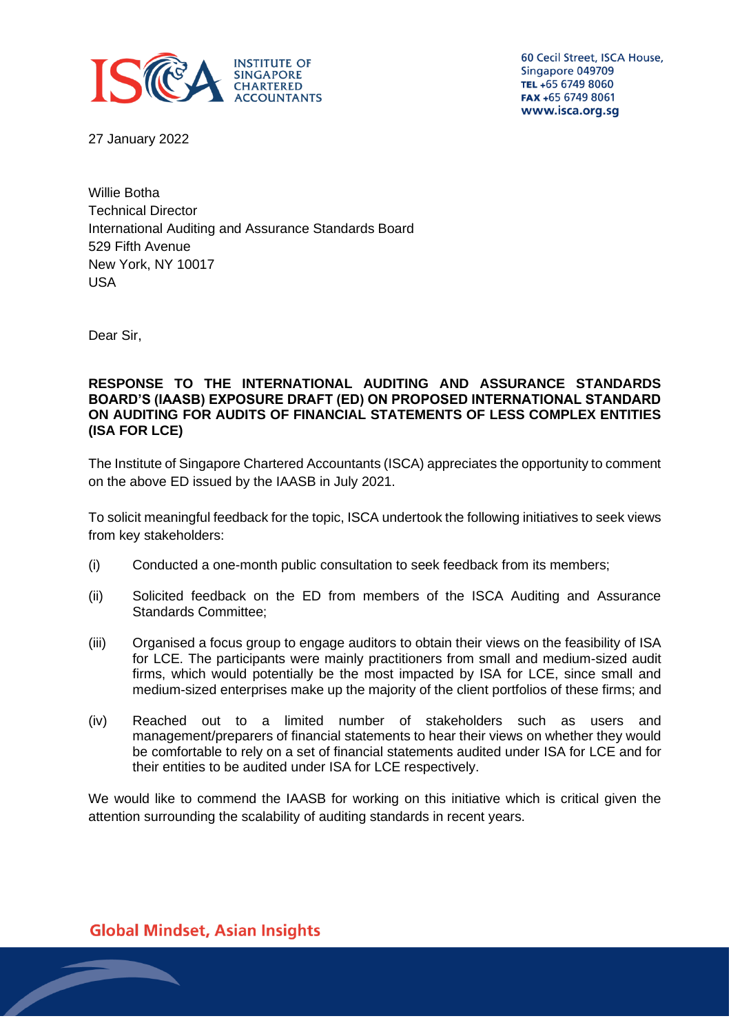

60 Cecil Street, ISCA House, Singapore 049709 TEL +65 6749 8060 FAX +65 6749 8061 www.isca.org.sg

27 January 2022

Willie Botha Technical Director International Auditing and Assurance Standards Board 529 Fifth Avenue New York, NY 10017 USA

Dear Sir,

#### **RESPONSE TO THE INTERNATIONAL AUDITING AND ASSURANCE STANDARDS BOARD'S (IAASB) EXPOSURE DRAFT (ED) ON PROPOSED INTERNATIONAL STANDARD ON AUDITING FOR AUDITS OF FINANCIAL STATEMENTS OF LESS COMPLEX ENTITIES (ISA FOR LCE)**

The Institute of Singapore Chartered Accountants (ISCA) appreciates the opportunity to comment on the above ED issued by the IAASB in July 2021.

To solicit meaningful feedback for the topic, ISCA undertook the following initiatives to seek views from key stakeholders:

- (i) Conducted a one-month public consultation to seek feedback from its members;
- (ii) Solicited feedback on the ED from members of the ISCA Auditing and Assurance Standards Committee;
- (iii) Organised a focus group to engage auditors to obtain their views on the feasibility of ISA for LCE. The participants were mainly practitioners from small and medium-sized audit firms, which would potentially be the most impacted by ISA for LCE, since small and medium-sized enterprises make up the majority of the client portfolios of these firms; and
- (iv) Reached out to a limited number of stakeholders such as users and management/preparers of financial statements to hear their views on whether they would be comfortable to rely on a set of financial statements audited under ISA for LCE and for their entities to be audited under ISA for LCE respectively.

We would like to commend the IAASB for working on this initiative which is critical given the attention surrounding the scalability of auditing standards in recent years.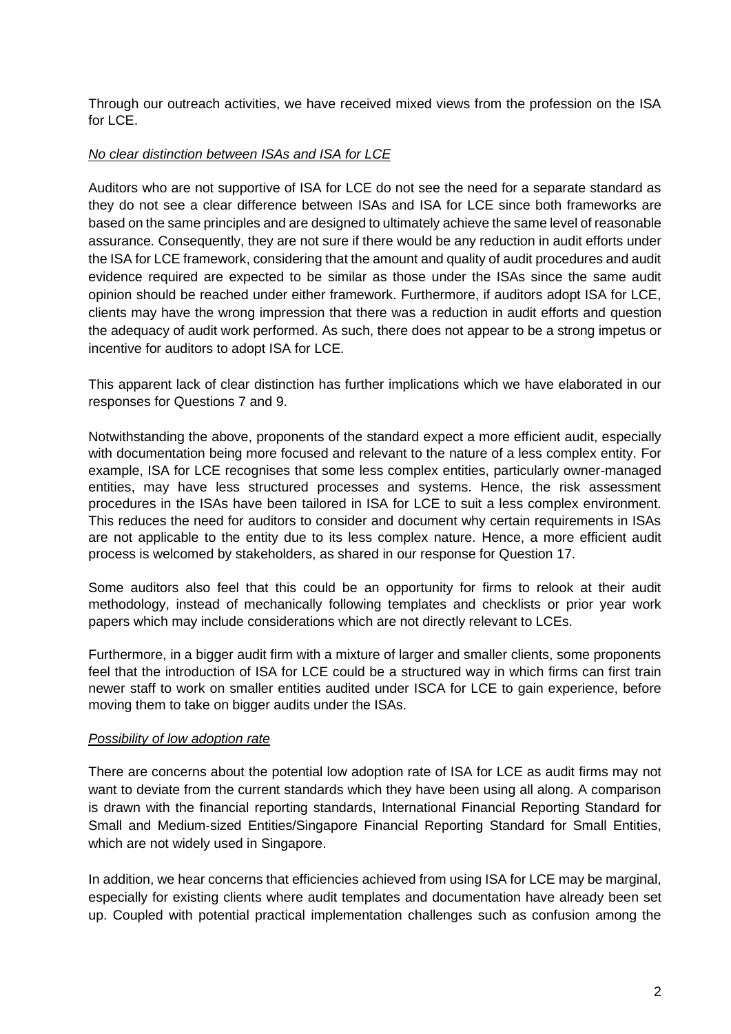Through our outreach activities, we have received mixed views from the profession on the ISA for LCE.

### *No clear distinction between ISAs and ISA for LCE*

Auditors who are not supportive of ISA for LCE do not see the need for a separate standard as they do not see a clear difference between ISAs and ISA for LCE since both frameworks are based on the same principles and are designed to ultimately achieve the same level of reasonable assurance. Consequently, they are not sure if there would be any reduction in audit efforts under the ISA for LCE framework, considering that the amount and quality of audit procedures and audit evidence required are expected to be similar as those under the ISAs since the same audit opinion should be reached under either framework. Furthermore, if auditors adopt ISA for LCE, clients may have the wrong impression that there was a reduction in audit efforts and question the adequacy of audit work performed. As such, there does not appear to be a strong impetus or incentive for auditors to adopt ISA for LCE.

This apparent lack of clear distinction has further implications which we have elaborated in our responses for Questions 7 and 9.

Notwithstanding the above, proponents of the standard expect a more efficient audit, especially with documentation being more focused and relevant to the nature of a less complex entity. For example, ISA for LCE recognises that some less complex entities, particularly owner-managed entities, may have less structured processes and systems. Hence, the risk assessment procedures in the ISAs have been tailored in ISA for LCE to suit a less complex environment. This reduces the need for auditors to consider and document why certain requirements in ISAs are not applicable to the entity due to its less complex nature. Hence, a more efficient audit process is welcomed by stakeholders, as shared in our response for Question 17.

Some auditors also feel that this could be an opportunity for firms to relook at their audit methodology, instead of mechanically following templates and checklists or prior year work papers which may include considerations which are not directly relevant to LCEs.

Furthermore, in a bigger audit firm with a mixture of larger and smaller clients, some proponents feel that the introduction of ISA for LCE could be a structured way in which firms can first train newer staff to work on smaller entities audited under ISCA for LCE to gain experience, before moving them to take on bigger audits under the ISAs.

### *Possibility of low adoption rate*

There are concerns about the potential low adoption rate of ISA for LCE as audit firms may not want to deviate from the current standards which they have been using all along. A comparison is drawn with the financial reporting standards, International Financial Reporting Standard for Small and Medium-sized Entities/Singapore Financial Reporting Standard for Small Entities, which are not widely used in Singapore.

In addition, we hear concerns that efficiencies achieved from using ISA for LCE may be marginal, especially for existing clients where audit templates and documentation have already been set up. Coupled with potential practical implementation challenges such as confusion among the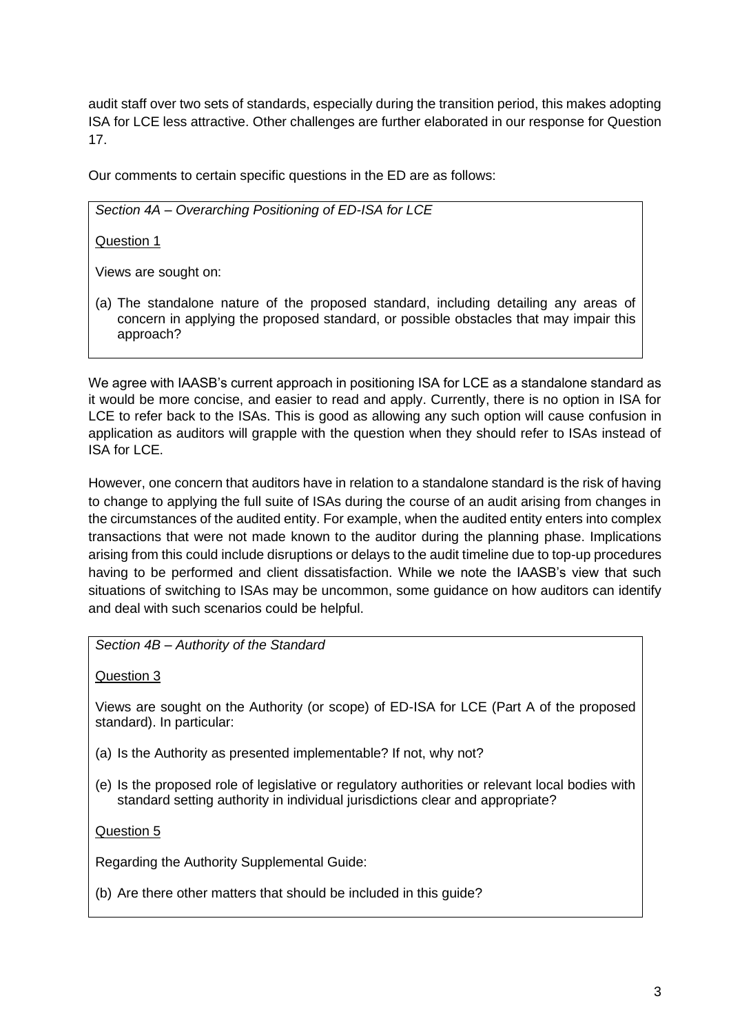audit staff over two sets of standards, especially during the transition period, this makes adopting ISA for LCE less attractive. Other challenges are further elaborated in our response for Question 17.

Our comments to certain specific questions in the ED are as follows:

*Section 4A – Overarching Positioning of ED-ISA for LCE*

Question 1

Views are sought on:

(a) The standalone nature of the proposed standard, including detailing any areas of concern in applying the proposed standard, or possible obstacles that may impair this approach?

We agree with IAASB's current approach in positioning ISA for LCE as a standalone standard as it would be more concise, and easier to read and apply. Currently, there is no option in ISA for LCE to refer back to the ISAs. This is good as allowing any such option will cause confusion in application as auditors will grapple with the question when they should refer to ISAs instead of ISA for LCE.

However, one concern that auditors have in relation to a standalone standard is the risk of having to change to applying the full suite of ISAs during the course of an audit arising from changes in the circumstances of the audited entity. For example, when the audited entity enters into complex transactions that were not made known to the auditor during the planning phase. Implications arising from this could include disruptions or delays to the audit timeline due to top-up procedures having to be performed and client dissatisfaction. While we note the IAASB's view that such situations of switching to ISAs may be uncommon, some guidance on how auditors can identify and deal with such scenarios could be helpful.

*Section 4B – Authority of the Standard*

Question 3

Views are sought on the Authority (or scope) of ED-ISA for LCE (Part A of the proposed standard). In particular:

- (a) Is the Authority as presented implementable? If not, why not?
- (e) Is the proposed role of legislative or regulatory authorities or relevant local bodies with standard setting authority in individual jurisdictions clear and appropriate?

Question 5

Regarding the Authority Supplemental Guide:

(b) Are there other matters that should be included in this guide?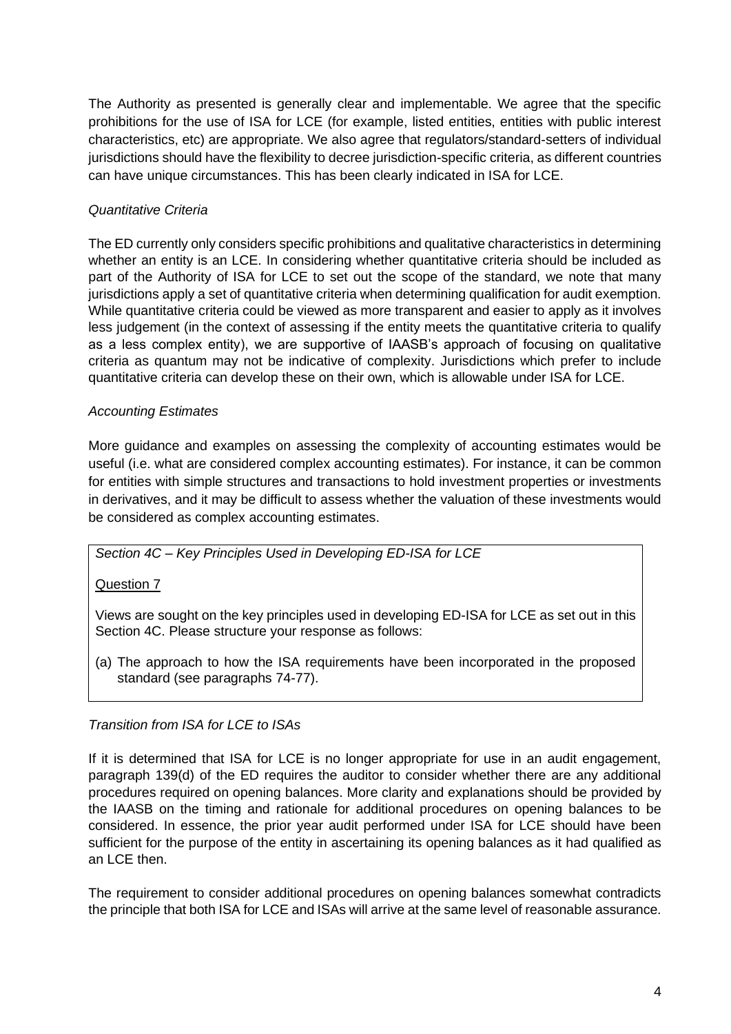The Authority as presented is generally clear and implementable. We agree that the specific prohibitions for the use of ISA for LCE (for example, listed entities, entities with public interest characteristics, etc) are appropriate. We also agree that regulators/standard-setters of individual jurisdictions should have the flexibility to decree jurisdiction-specific criteria, as different countries can have unique circumstances. This has been clearly indicated in ISA for LCE.

# *Quantitative Criteria*

The ED currently only considers specific prohibitions and qualitative characteristics in determining whether an entity is an LCE. In considering whether quantitative criteria should be included as part of the Authority of ISA for LCE to set out the scope of the standard, we note that many jurisdictions apply a set of quantitative criteria when determining qualification for audit exemption. While quantitative criteria could be viewed as more transparent and easier to apply as it involves less judgement (in the context of assessing if the entity meets the quantitative criteria to qualify as a less complex entity), we are supportive of IAASB's approach of focusing on qualitative criteria as quantum may not be indicative of complexity. Jurisdictions which prefer to include quantitative criteria can develop these on their own, which is allowable under ISA for LCE.

# *Accounting Estimates*

More guidance and examples on assessing the complexity of accounting estimates would be useful (i.e. what are considered complex accounting estimates). For instance, it can be common for entities with simple structures and transactions to hold investment properties or investments in derivatives, and it may be difficult to assess whether the valuation of these investments would be considered as complex accounting estimates.

## *Section 4C – Key Principles Used in Developing ED-ISA for LCE*

# Question 7

Views are sought on the key principles used in developing ED-ISA for LCE as set out in this Section 4C. Please structure your response as follows:

(a) The approach to how the ISA requirements have been incorporated in the proposed standard (see paragraphs 74-77).

## *Transition from ISA for LCE to ISAs*

If it is determined that ISA for LCE is no longer appropriate for use in an audit engagement, paragraph 139(d) of the ED requires the auditor to consider whether there are any additional procedures required on opening balances. More clarity and explanations should be provided by the IAASB on the timing and rationale for additional procedures on opening balances to be considered. In essence, the prior year audit performed under ISA for LCE should have been sufficient for the purpose of the entity in ascertaining its opening balances as it had qualified as an LCE then.

The requirement to consider additional procedures on opening balances somewhat contradicts the principle that both ISA for LCE and ISAs will arrive at the same level of reasonable assurance.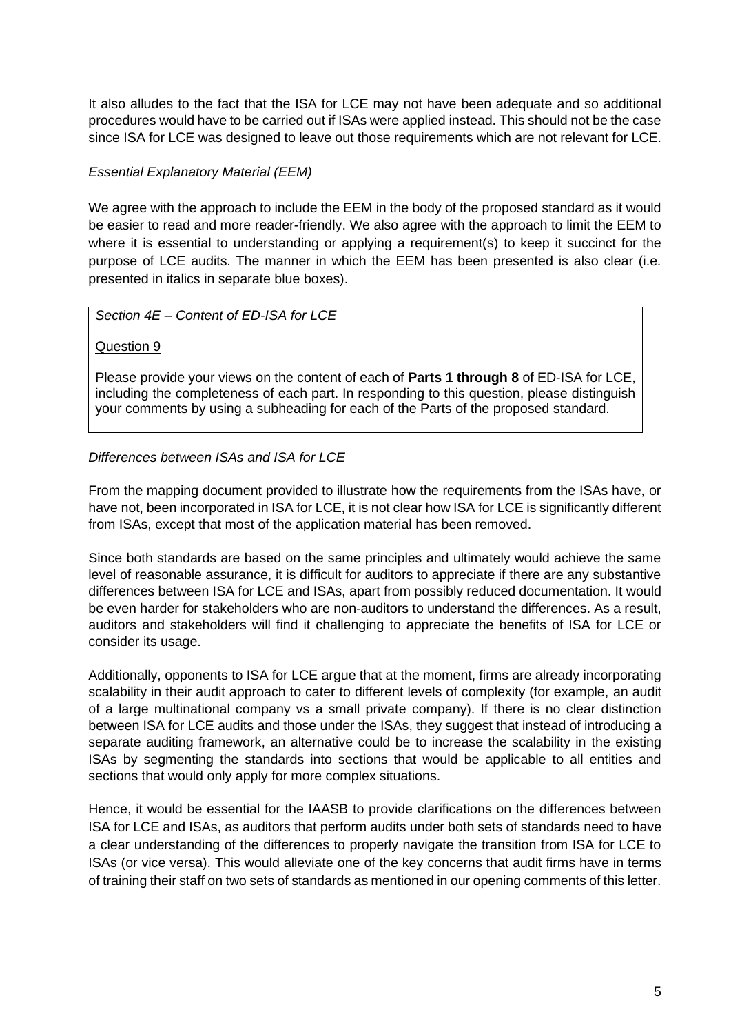It also alludes to the fact that the ISA for LCE may not have been adequate and so additional procedures would have to be carried out if ISAs were applied instead. This should not be the case since ISA for LCE was designed to leave out those requirements which are not relevant for LCE.

## *Essential Explanatory Material (EEM)*

We agree with the approach to include the EEM in the body of the proposed standard as it would be easier to read and more reader-friendly. We also agree with the approach to limit the EEM to where it is essential to understanding or applying a requirement(s) to keep it succinct for the purpose of LCE audits. The manner in which the EEM has been presented is also clear (i.e. presented in italics in separate blue boxes).

# *Section 4E – Content of ED-ISA for LCE*

### Question 9

Please provide your views on the content of each of **Parts 1 through 8** of ED-ISA for LCE, including the completeness of each part. In responding to this question, please distinguish your comments by using a subheading for each of the Parts of the proposed standard.

## *Differences between ISAs and ISA for LCE*

From the mapping document provided to illustrate how the requirements from the ISAs have, or have not, been incorporated in ISA for LCE, it is not clear how ISA for LCE is significantly different from ISAs, except that most of the application material has been removed.

Since both standards are based on the same principles and ultimately would achieve the same level of reasonable assurance, it is difficult for auditors to appreciate if there are any substantive differences between ISA for LCE and ISAs, apart from possibly reduced documentation. It would be even harder for stakeholders who are non-auditors to understand the differences. As a result, auditors and stakeholders will find it challenging to appreciate the benefits of ISA for LCE or consider its usage.

Additionally, opponents to ISA for LCE argue that at the moment, firms are already incorporating scalability in their audit approach to cater to different levels of complexity (for example, an audit of a large multinational company vs a small private company). If there is no clear distinction between ISA for LCE audits and those under the ISAs, they suggest that instead of introducing a separate auditing framework, an alternative could be to increase the scalability in the existing ISAs by segmenting the standards into sections that would be applicable to all entities and sections that would only apply for more complex situations.

Hence, it would be essential for the IAASB to provide clarifications on the differences between ISA for LCE and ISAs, as auditors that perform audits under both sets of standards need to have a clear understanding of the differences to properly navigate the transition from ISA for LCE to ISAs (or vice versa). This would alleviate one of the key concerns that audit firms have in terms of training their staff on two sets of standards as mentioned in our opening comments of this letter.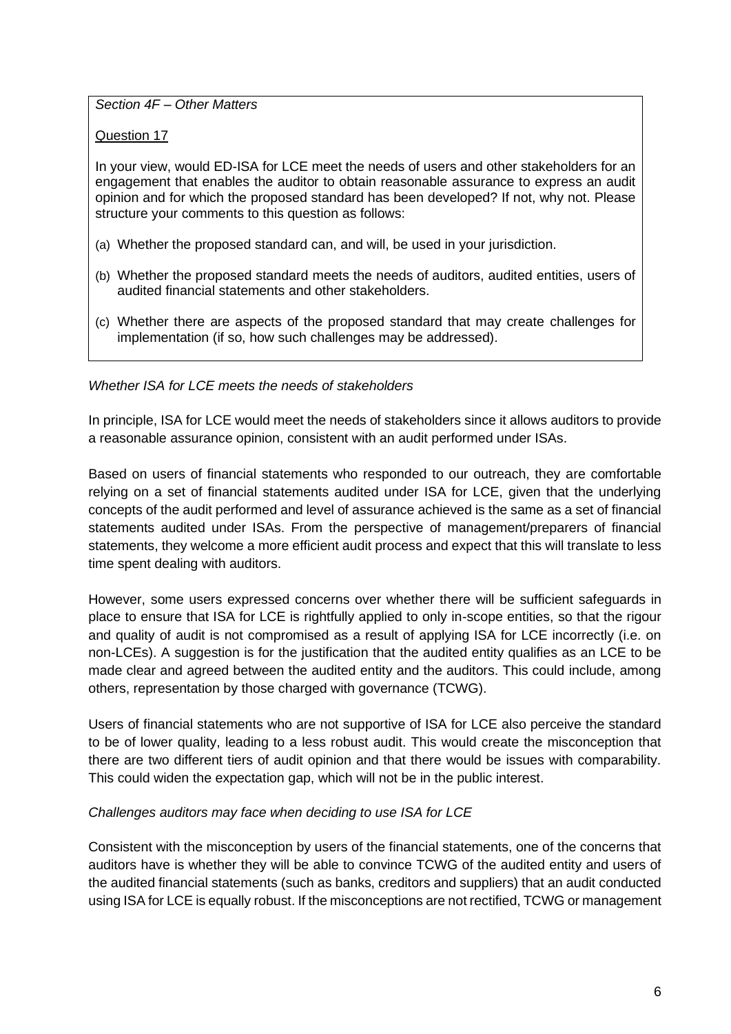*Section 4F – Other Matters*

Question 17

In your view, would ED-ISA for LCE meet the needs of users and other stakeholders for an engagement that enables the auditor to obtain reasonable assurance to express an audit opinion and for which the proposed standard has been developed? If not, why not. Please structure your comments to this question as follows:

- (a) Whether the proposed standard can, and will, be used in your jurisdiction.
- (b) Whether the proposed standard meets the needs of auditors, audited entities, users of audited financial statements and other stakeholders.
- (c) Whether there are aspects of the proposed standard that may create challenges for implementation (if so, how such challenges may be addressed).

## *Whether ISA for LCE meets the needs of stakeholders*

In principle, ISA for LCE would meet the needs of stakeholders since it allows auditors to provide a reasonable assurance opinion, consistent with an audit performed under ISAs.

Based on users of financial statements who responded to our outreach, they are comfortable relying on a set of financial statements audited under ISA for LCE, given that the underlying concepts of the audit performed and level of assurance achieved is the same as a set of financial statements audited under ISAs. From the perspective of management/preparers of financial statements, they welcome a more efficient audit process and expect that this will translate to less time spent dealing with auditors.

However, some users expressed concerns over whether there will be sufficient safeguards in place to ensure that ISA for LCE is rightfully applied to only in-scope entities, so that the rigour and quality of audit is not compromised as a result of applying ISA for LCE incorrectly (i.e. on non-LCEs). A suggestion is for the justification that the audited entity qualifies as an LCE to be made clear and agreed between the audited entity and the auditors. This could include, among others, representation by those charged with governance (TCWG).

Users of financial statements who are not supportive of ISA for LCE also perceive the standard to be of lower quality, leading to a less robust audit. This would create the misconception that there are two different tiers of audit opinion and that there would be issues with comparability. This could widen the expectation gap, which will not be in the public interest.

## *Challenges auditors may face when deciding to use ISA for LCE*

Consistent with the misconception by users of the financial statements, one of the concerns that auditors have is whether they will be able to convince TCWG of the audited entity and users of the audited financial statements (such as banks, creditors and suppliers) that an audit conducted using ISA for LCE is equally robust. If the misconceptions are not rectified, TCWG or management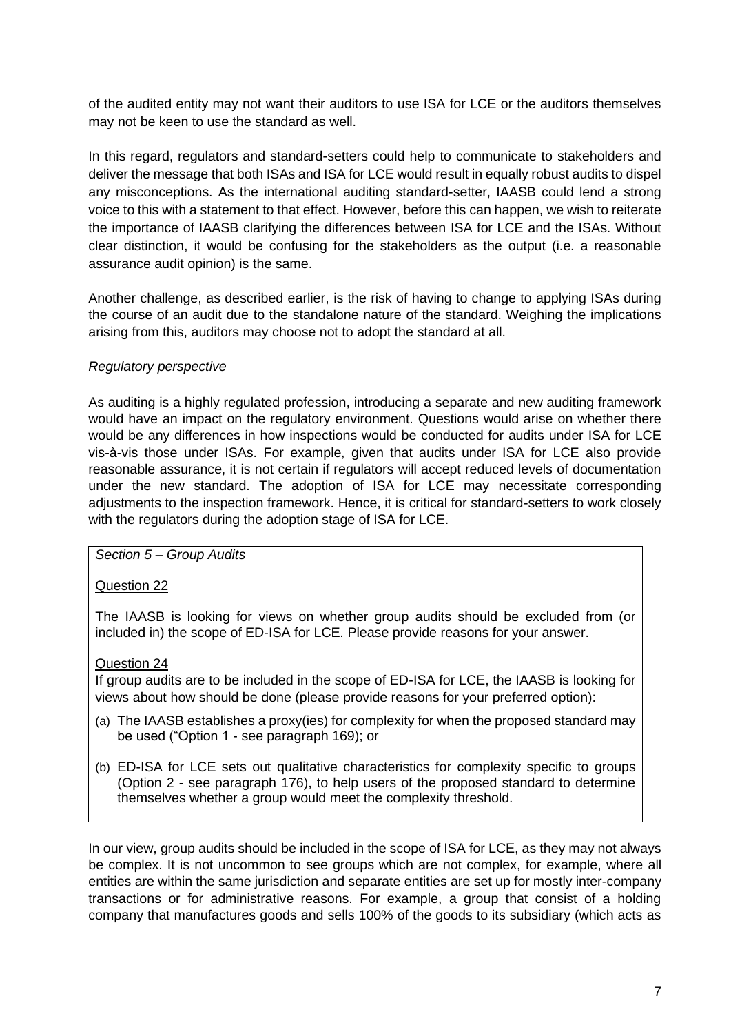of the audited entity may not want their auditors to use ISA for LCE or the auditors themselves may not be keen to use the standard as well.

In this regard, regulators and standard-setters could help to communicate to stakeholders and deliver the message that both ISAs and ISA for LCE would result in equally robust audits to dispel any misconceptions. As the international auditing standard-setter, IAASB could lend a strong voice to this with a statement to that effect. However, before this can happen, we wish to reiterate the importance of IAASB clarifying the differences between ISA for LCE and the ISAs. Without clear distinction, it would be confusing for the stakeholders as the output (i.e. a reasonable assurance audit opinion) is the same.

Another challenge, as described earlier, is the risk of having to change to applying ISAs during the course of an audit due to the standalone nature of the standard. Weighing the implications arising from this, auditors may choose not to adopt the standard at all.

### *Regulatory perspective*

As auditing is a highly regulated profession, introducing a separate and new auditing framework would have an impact on the regulatory environment. Questions would arise on whether there would be any differences in how inspections would be conducted for audits under ISA for LCE vis-à-vis those under ISAs. For example, given that audits under ISA for LCE also provide reasonable assurance, it is not certain if regulators will accept reduced levels of documentation under the new standard. The adoption of ISA for LCE may necessitate corresponding adjustments to the inspection framework. Hence, it is critical for standard-setters to work closely with the regulators during the adoption stage of ISA for LCE.

*Section 5 – Group Audits*

Question 22

The IAASB is looking for views on whether group audits should be excluded from (or included in) the scope of ED-ISA for LCE. Please provide reasons for your answer.

### Question 24

If group audits are to be included in the scope of ED-ISA for LCE, the IAASB is looking for views about how should be done (please provide reasons for your preferred option):

- (a) The IAASB establishes a proxy(ies) for complexity for when the proposed standard may be used ("Option 1 - see paragraph 169); or
- (b) ED-ISA for LCE sets out qualitative characteristics for complexity specific to groups (Option 2 - see paragraph 176), to help users of the proposed standard to determine themselves whether a group would meet the complexity threshold.

In our view, group audits should be included in the scope of ISA for LCE, as they may not always be complex. It is not uncommon to see groups which are not complex, for example, where all entities are within the same jurisdiction and separate entities are set up for mostly inter-company transactions or for administrative reasons. For example, a group that consist of a holding company that manufactures goods and sells 100% of the goods to its subsidiary (which acts as